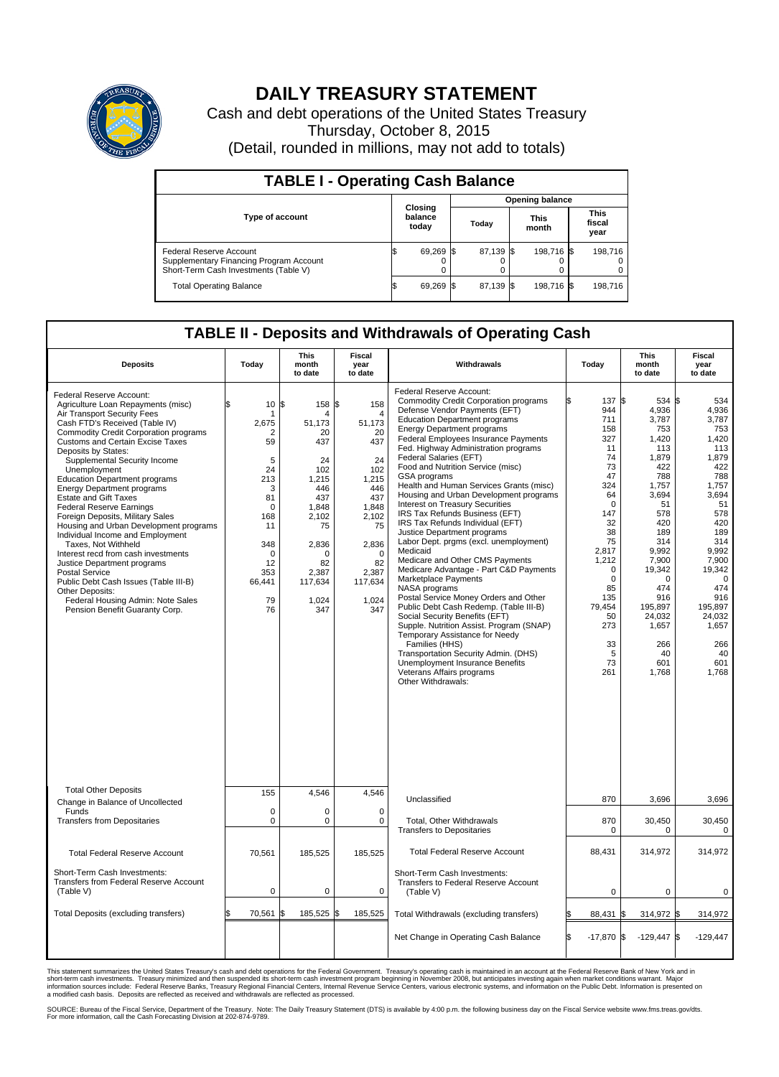

## **DAILY TREASURY STATEMENT**

Cash and debt operations of the United States Treasury Thursday, October 8, 2015 (Detail, rounded in millions, may not add to totals)

| <b>TABLE I - Operating Cash Balance</b>                                                                     |  |                             |  |                        |  |                      |  |                               |  |  |  |
|-------------------------------------------------------------------------------------------------------------|--|-----------------------------|--|------------------------|--|----------------------|--|-------------------------------|--|--|--|
|                                                                                                             |  |                             |  | <b>Opening balance</b> |  |                      |  |                               |  |  |  |
| <b>Type of account</b>                                                                                      |  | Closing<br>balance<br>today |  | Today                  |  | <b>This</b><br>month |  | <b>This</b><br>fiscal<br>year |  |  |  |
| Federal Reserve Account<br>Supplementary Financing Program Account<br>Short-Term Cash Investments (Table V) |  | 69,269                      |  | 87,139 \$              |  | 198,716 \$           |  | 198,716                       |  |  |  |
| <b>Total Operating Balance</b>                                                                              |  | 69,269                      |  | 87,139 \$              |  | 198,716 \$           |  | 198,716                       |  |  |  |

## **TABLE II - Deposits and Withdrawals of Operating Cash**

| <b>Deposits</b>                                                                                                                                                                                                                                                                                                                                                                                                                                                                                                                                                                                                                                                                                                                                                                                                              | Today                                                                                                                                        | This<br>month<br>to date                                                                                                                                            | Fiscal<br>year<br>to date                                                                                                                                  | Withdrawals                                                                                                                                                                                                                                                                                                                                                                                                                                                                                                                                                                                                                                                                                                                                                                                                                                                                                                                                                                                                                                                                                                                     | Today                                                                                                                                                                                                          | <b>This</b><br>month<br>to date                                                                                                                                                                                                                | Fiscal<br>year<br>to date                                                                                                                                                                                                                   |
|------------------------------------------------------------------------------------------------------------------------------------------------------------------------------------------------------------------------------------------------------------------------------------------------------------------------------------------------------------------------------------------------------------------------------------------------------------------------------------------------------------------------------------------------------------------------------------------------------------------------------------------------------------------------------------------------------------------------------------------------------------------------------------------------------------------------------|----------------------------------------------------------------------------------------------------------------------------------------------|---------------------------------------------------------------------------------------------------------------------------------------------------------------------|------------------------------------------------------------------------------------------------------------------------------------------------------------|---------------------------------------------------------------------------------------------------------------------------------------------------------------------------------------------------------------------------------------------------------------------------------------------------------------------------------------------------------------------------------------------------------------------------------------------------------------------------------------------------------------------------------------------------------------------------------------------------------------------------------------------------------------------------------------------------------------------------------------------------------------------------------------------------------------------------------------------------------------------------------------------------------------------------------------------------------------------------------------------------------------------------------------------------------------------------------------------------------------------------------|----------------------------------------------------------------------------------------------------------------------------------------------------------------------------------------------------------------|------------------------------------------------------------------------------------------------------------------------------------------------------------------------------------------------------------------------------------------------|---------------------------------------------------------------------------------------------------------------------------------------------------------------------------------------------------------------------------------------------|
| Federal Reserve Account:<br>Agriculture Loan Repayments (misc)<br>Air Transport Security Fees<br>Cash FTD's Received (Table IV)<br><b>Commodity Credit Corporation programs</b><br><b>Customs and Certain Excise Taxes</b><br>Deposits by States:<br>Supplemental Security Income<br>Unemployment<br><b>Education Department programs</b><br><b>Energy Department programs</b><br><b>Estate and Gift Taxes</b><br><b>Federal Reserve Earnings</b><br>Foreign Deposits, Military Sales<br>Housing and Urban Development programs<br>Individual Income and Employment<br>Taxes, Not Withheld<br>Interest recd from cash investments<br>Justice Department programs<br><b>Postal Service</b><br>Public Debt Cash Issues (Table III-B)<br>Other Deposits:<br>Federal Housing Admin: Note Sales<br>Pension Benefit Guaranty Corp. | \$.<br>10<br>2,675<br>2<br>59<br>5<br>24<br>213<br>3<br>81<br>$\Omega$<br>168<br>11<br>348<br>$\mathbf 0$<br>12<br>353<br>66,441<br>79<br>76 | \$<br>158 \$<br>4<br>51,173<br>20<br>437<br>24<br>102<br>1,215<br>446<br>437<br>1,848<br>2,102<br>75<br>2,836<br>$\Omega$<br>82<br>2,387<br>117,634<br>1,024<br>347 | 158<br>4<br>51,173<br>20<br>437<br>24<br>102<br>1,215<br>446<br>437<br>1,848<br>2,102<br>75<br>2,836<br>$\Omega$<br>82<br>2,387<br>117,634<br>1,024<br>347 | Federal Reserve Account:<br><b>Commodity Credit Corporation programs</b><br>Defense Vendor Payments (EFT)<br><b>Education Department programs</b><br><b>Energy Department programs</b><br><b>Federal Employees Insurance Payments</b><br>Fed. Highway Administration programs<br>Federal Salaries (EFT)<br>Food and Nutrition Service (misc)<br><b>GSA</b> programs<br>Health and Human Services Grants (misc)<br>Housing and Urban Development programs<br>Interest on Treasury Securities<br>IRS Tax Refunds Business (EFT)<br>IRS Tax Refunds Individual (EFT)<br>Justice Department programs<br>Labor Dept. prgms (excl. unemployment)<br>Medicaid<br>Medicare and Other CMS Payments<br>Medicare Advantage - Part C&D Payments<br>Marketplace Payments<br>NASA programs<br>Postal Service Money Orders and Other<br>Public Debt Cash Redemp. (Table III-B)<br>Social Security Benefits (EFT)<br>Supple. Nutrition Assist. Program (SNAP)<br>Temporary Assistance for Needy<br>Families (HHS)<br>Transportation Security Admin. (DHS)<br>Unemployment Insurance Benefits<br>Veterans Affairs programs<br>Other Withdrawals: | 137<br>944<br>711<br>158<br>327<br>11<br>74<br>73<br>47<br>324<br>64<br>$\mathbf 0$<br>147<br>32<br>38<br>75<br>2,817<br>1,212<br>$\mathbf 0$<br>0<br>85<br>135<br>79.454<br>50<br>273<br>33<br>5<br>73<br>261 | $534$ \\$<br>l\$<br>4,936<br>3,787<br>753<br>1.420<br>113<br>1,879<br>422<br>788<br>1,757<br>3,694<br>51<br>578<br>420<br>189<br>314<br>9,992<br>7,900<br>19,342<br>0<br>474<br>916<br>195.897<br>24,032<br>1,657<br>266<br>40<br>601<br>1,768 | 534<br>4,936<br>3,787<br>753<br>1.420<br>113<br>1,879<br>422<br>788<br>1,757<br>3,694<br>51<br>578<br>420<br>189<br>314<br>9,992<br>7,900<br>19,342<br>$\mathbf 0$<br>474<br>916<br>195.897<br>24,032<br>1,657<br>266<br>40<br>601<br>1.768 |
| <b>Total Other Deposits</b><br>Change in Balance of Uncollected                                                                                                                                                                                                                                                                                                                                                                                                                                                                                                                                                                                                                                                                                                                                                              | 155                                                                                                                                          | 4,546                                                                                                                                                               | 4,546                                                                                                                                                      | Unclassified                                                                                                                                                                                                                                                                                                                                                                                                                                                                                                                                                                                                                                                                                                                                                                                                                                                                                                                                                                                                                                                                                                                    | 870                                                                                                                                                                                                            | 3,696                                                                                                                                                                                                                                          | 3,696                                                                                                                                                                                                                                       |
| Funds<br><b>Transfers from Depositaries</b>                                                                                                                                                                                                                                                                                                                                                                                                                                                                                                                                                                                                                                                                                                                                                                                  | $\mathbf 0$<br>$\mathbf 0$                                                                                                                   | 0<br>$\mathbf 0$                                                                                                                                                    | $\mathbf 0$<br>$\mathbf 0$                                                                                                                                 | Total, Other Withdrawals<br><b>Transfers to Depositaries</b>                                                                                                                                                                                                                                                                                                                                                                                                                                                                                                                                                                                                                                                                                                                                                                                                                                                                                                                                                                                                                                                                    | 870<br>$\mathbf 0$                                                                                                                                                                                             | 30,450<br>0                                                                                                                                                                                                                                    | 30,450<br>$\mathbf 0$                                                                                                                                                                                                                       |
| <b>Total Federal Reserve Account</b>                                                                                                                                                                                                                                                                                                                                                                                                                                                                                                                                                                                                                                                                                                                                                                                         | 70,561                                                                                                                                       | 185,525                                                                                                                                                             | 185,525                                                                                                                                                    | <b>Total Federal Reserve Account</b>                                                                                                                                                                                                                                                                                                                                                                                                                                                                                                                                                                                                                                                                                                                                                                                                                                                                                                                                                                                                                                                                                            | 88,431                                                                                                                                                                                                         | 314,972                                                                                                                                                                                                                                        | 314.972                                                                                                                                                                                                                                     |
| Short-Term Cash Investments:<br><b>Transfers from Federal Reserve Account</b><br>(Table V)                                                                                                                                                                                                                                                                                                                                                                                                                                                                                                                                                                                                                                                                                                                                   | 0                                                                                                                                            | 0                                                                                                                                                                   | 0                                                                                                                                                          | Short-Term Cash Investments:<br>Transfers to Federal Reserve Account<br>(Table V)                                                                                                                                                                                                                                                                                                                                                                                                                                                                                                                                                                                                                                                                                                                                                                                                                                                                                                                                                                                                                                               | $\pmb{0}$                                                                                                                                                                                                      | 0                                                                                                                                                                                                                                              | $\mathbf 0$                                                                                                                                                                                                                                 |
| Total Deposits (excluding transfers)                                                                                                                                                                                                                                                                                                                                                                                                                                                                                                                                                                                                                                                                                                                                                                                         | 70,561                                                                                                                                       | l\$<br>185,525 \$                                                                                                                                                   | 185,525                                                                                                                                                    | Total Withdrawals (excluding transfers)                                                                                                                                                                                                                                                                                                                                                                                                                                                                                                                                                                                                                                                                                                                                                                                                                                                                                                                                                                                                                                                                                         | 88,431                                                                                                                                                                                                         | 314,972 \$                                                                                                                                                                                                                                     | 314,972                                                                                                                                                                                                                                     |
|                                                                                                                                                                                                                                                                                                                                                                                                                                                                                                                                                                                                                                                                                                                                                                                                                              |                                                                                                                                              |                                                                                                                                                                     |                                                                                                                                                            | Net Change in Operating Cash Balance                                                                                                                                                                                                                                                                                                                                                                                                                                                                                                                                                                                                                                                                                                                                                                                                                                                                                                                                                                                                                                                                                            | l\$<br>$-17,870$ \$                                                                                                                                                                                            | $-129,447$ \$                                                                                                                                                                                                                                  | $-129,447$                                                                                                                                                                                                                                  |

This statement summarizes the United States Treasury's cash and debt operations for the Federal Government. Treasury's operating cash is maintained in an account at the Federal Reserve Bank of New York and in<br>short-term ca

SOURCE: Bureau of the Fiscal Service, Department of the Treasury. Note: The Daily Treasury Statement (DTS) is available by 4:00 p.m. the following business day on the Fiscal Service website www.fms.treas.gov/dts.<br>For more